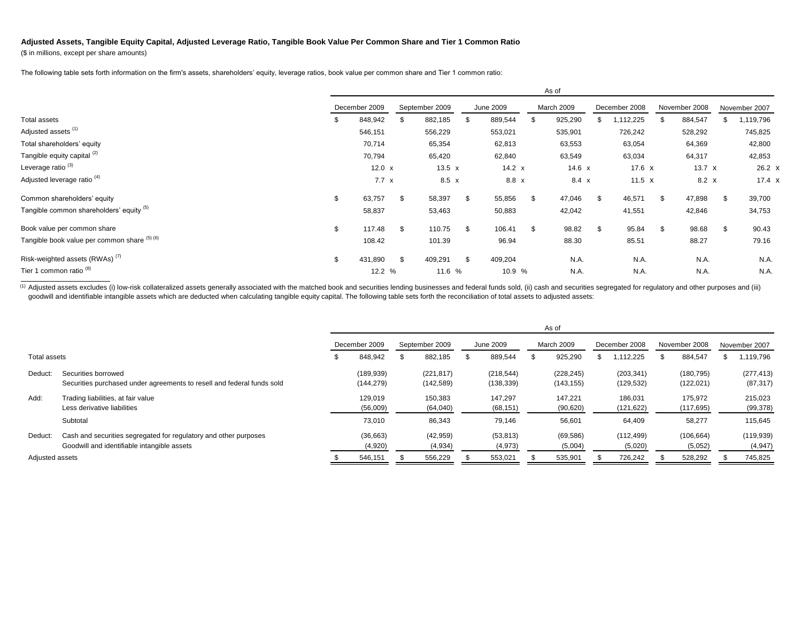## **Adjusted Assets, Tangible Equity Capital, Adjusted Leverage Ratio, Tangible Book Value Per Common Share and Tier 1 Common Ratio**

(\$ in millions, except per share amounts)

The following table sets forth information on the firm's assets, shareholders' equity, leverage ratios, book value per common share and Tier 1 common ratio:

|                                              |    | As of         |                |              |           |               |            |          |               |               |               |               |    |               |
|----------------------------------------------|----|---------------|----------------|--------------|-----------|---------------|------------|----------|---------------|---------------|---------------|---------------|----|---------------|
|                                              |    | December 2009 | September 2009 |              | June 2009 |               | March 2009 |          | December 2008 |               | November 2008 |               |    | November 2007 |
| Total assets                                 | S  | 848,942       | -\$            | 882,185      | - 95      | 889,544       | \$.        | 925,290  |               | 1,112,225     | S             | 884,547       | S  | 1,119,796     |
| Adjusted assets (1)                          |    | 546,151       |                | 556,229      |           | 553,021       |            | 535,901  |               | 726,242       |               | 528,292       |    | 745,825       |
| Total shareholders' equity                   |    | 70,714        |                | 65,354       |           | 62,813        |            | 63,553   |               | 63,054        |               | 64,369        |    | 42,800        |
| Tangible equity capital (2)                  |    | 70,794        |                | 65,420       |           | 62,840        |            | 63,549   |               | 63,034        |               | 64,317        |    | 42,853        |
| Leverage ratio <sup>(3)</sup>                |    | 12.0 $x$      |                | 13.5 $x$     |           | 14.2 $\times$ |            | 14.6 $x$ |               | 17.6 $x$      |               | 13.7 $\times$ |    | $26.2 \times$ |
| Adjusted leverage ratio <sup>(4)</sup>       |    | $7.7 \times$  |                | $8.5 \times$ |           | 8.8 x         |            | 8.4 x    |               | 11.5 $\times$ |               | 8.2 X         |    | 17.4 x        |
| Common shareholders' equity                  | \$ | 63,757        | \$             | 58,397       | \$        | 55,856        | \$         | 47,046   | \$            | 46,571        | \$            | 47,898        |    | 39,700        |
| Tangible common shareholders' equity (5)     |    | 58,837        |                | 53,463       |           | 50,883        |            | 42,042   |               | 41,551        |               | 42,846        |    | 34,753        |
| Book value per common share                  | \$ | 117.48        | -\$            | 110.75       | \$        | 106.41        | \$         | 98.82    | \$.           | 95.84         | \$            | 98.68         | \$ | 90.43         |
| Tangible book value per common share (5) (6) |    | 108.42        |                | 101.39       |           | 96.94         |            | 88.30    |               | 85.51         |               | 88.27         |    | 79.16         |
| Risk-weighted assets (RWAs) <sup>(7)</sup>   | \$ | 431,890       | -\$            | 409,291      | \$        | 409,204       |            | N.A.     |               | N.A.          |               | N.A.          |    | N.A.          |
| Tier 1 common ratio <sup>(8)</sup>           |    | 12.2 %        |                | 11.6 %       |           | 10.9 %        |            | N.A.     |               | N.A.          |               | N.A.          |    | N.A.          |

(1) Adjusted assets excludes (i) low-risk collateralized assets generally associated with the matched book and securities lending businesses and federal funds sold, (ii) cash and securities segregated for regulatory and ot goodwill and identifiable intangible assets which are deducted when calculating tangible equity capital. The following table sets forth the reconciliation of total assets to adjusted assets:

|                 |                                                                                                                 | As of         |                          |                |                          |           |                          |            |                          |               |                          |               |                          |  |                         |
|-----------------|-----------------------------------------------------------------------------------------------------------------|---------------|--------------------------|----------------|--------------------------|-----------|--------------------------|------------|--------------------------|---------------|--------------------------|---------------|--------------------------|--|-------------------------|
|                 |                                                                                                                 | December 2009 |                          | September 2009 |                          | June 2009 |                          | March 2009 |                          | December 2008 |                          | November 2008 |                          |  | November 2007           |
| Total assets    |                                                                                                                 |               | 848,942                  |                | 882,185                  | ۰ħ        | 889,544                  |            | 925,290                  |               | 1,112,225                |               | 884,547                  |  | 1,119,796               |
| Deduct:         | Securities borrowed<br>Securities purchased under agreements to resell and federal funds sold                   |               | (189, 939)<br>(144, 279) |                | (221, 817)<br>(142, 589) |           | (218, 544)<br>(138, 339) |            | (228, 245)<br>(143, 155) |               | (203, 341)<br>(129, 532) |               | (180, 795)<br>(122, 021) |  | (277, 413)<br>(87, 317) |
| Add:            | Trading liabilities, at fair value<br>Less derivative liabilities                                               |               | 129.019<br>(56,009)      |                | 150,383<br>(64, 040)     |           | 147.297<br>(68, 151)     |            | 147,221<br>(90, 620)     |               | 186,031<br>(121,622)     |               | 175,972<br>(117, 695)    |  | 215,023<br>(99, 378)    |
|                 | Subtotal                                                                                                        |               | 73,010                   |                | 86,343                   |           | 79,146                   |            | 56,601                   |               | 64,409                   |               | 58,277                   |  | 115,645                 |
| Deduct:         | Cash and securities segregated for regulatory and other purposes<br>Goodwill and identifiable intangible assets |               | (36,663)<br>(4,920)      |                | (42, 959)<br>(4,934)     |           | (53, 813)<br>(4,973)     |            | (69, 586)<br>(5,004)     |               | (112, 499)<br>(5,020)    |               | (106, 664)<br>(5,052)    |  | (119, 939)<br>(4, 947)  |
| Adjusted assets |                                                                                                                 |               | 546,151                  |                | 556,229                  |           | 553,021                  |            | 535,901                  |               | 726,242                  |               | 528,292                  |  | 745,825                 |